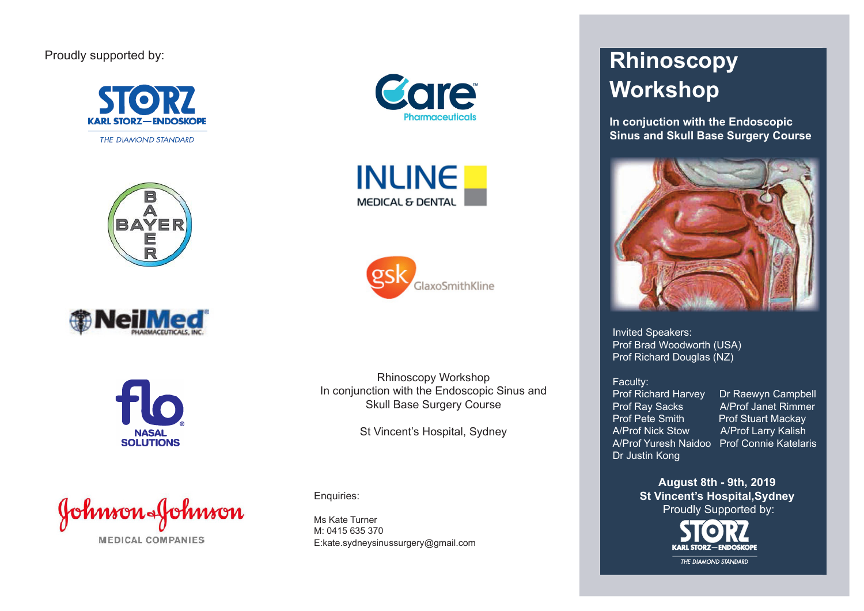## Proudly supported by:









Johnson&Johnson **MEDICAL COMPANIES** 







Rhinoscopy Workshop In conjunction with the Endoscopic Sinus and Skull Base Surgery Course

St Vincent's Hospital, Sydney

Enquiries:

Ms Kate Turner M: 0415 635 370 E:kate.sydneysinussurgery@gmail.com

# **Rhinoscopy Workshop**

**In conjuction with the Endoscopic Sinus and Skull Base Surgery Course**



Invited Speakers: Prof Brad Woodworth (USA) Prof Richard Douglas (NZ)

Faculty:<br>Prof Richard Harvey Prof Ray Sacks A/Prof Janet Rimmer Prof Pete Smith Prof Stuart Mackay A/Prof Nick Stow A/Prof Larry Kalish Dr Justin Kong

Dr Raewyn Campbell A/Prof Yuresh Naidoo Prof Connie Katelaris

> **August 8th - 9th, 2019 St Vincent's Hospital,Sydney** Proudly Supported by:



THE DIAMOND STANDARD